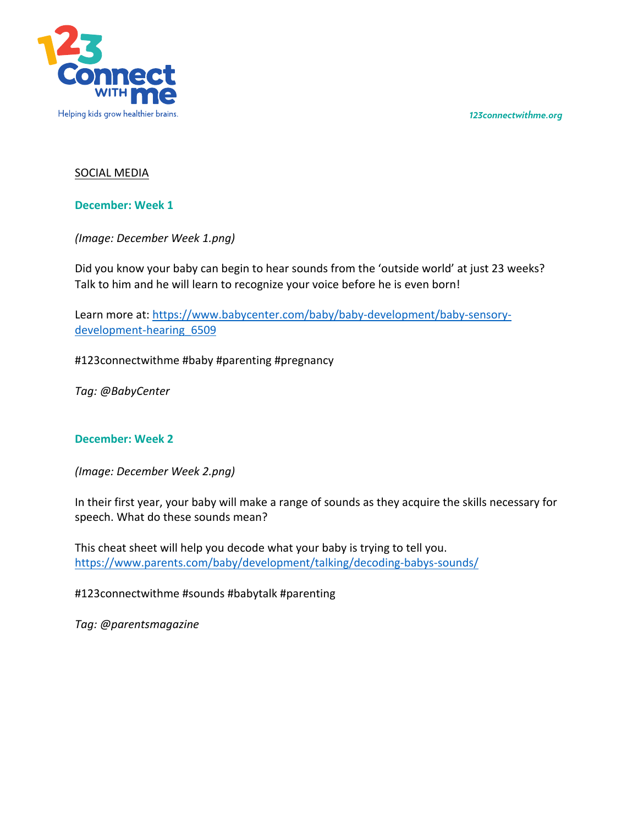*123connectwithme.org*



## SOCIAL MEDIA

**December: Week 1**

*(Image: December Week 1.png)*

Did you know your baby can begin to hear sounds from the 'outside world' at just 23 weeks? Talk to him and he will learn to recognize your voice before he is even born!

Learn more at: https://www.babycenter.com/baby/baby-development/baby-sensorydevelopment-hearing 6509

#123connectwithme #baby #parenting #pregnancy

*Tag: @BabyCenter*

## **December: Week 2**

*(Image: December Week 2.png)*

In their first year, your baby will make a range of sounds as they acquire the skills necessary for speech. What do these sounds mean?

This cheat sheet will help you decode what your baby is trying to tell you. https://www.parents.com/baby/development/talking/decoding-babys-sounds/

#123connectwithme #sounds #babytalk #parenting

*Tag: @parentsmagazine*